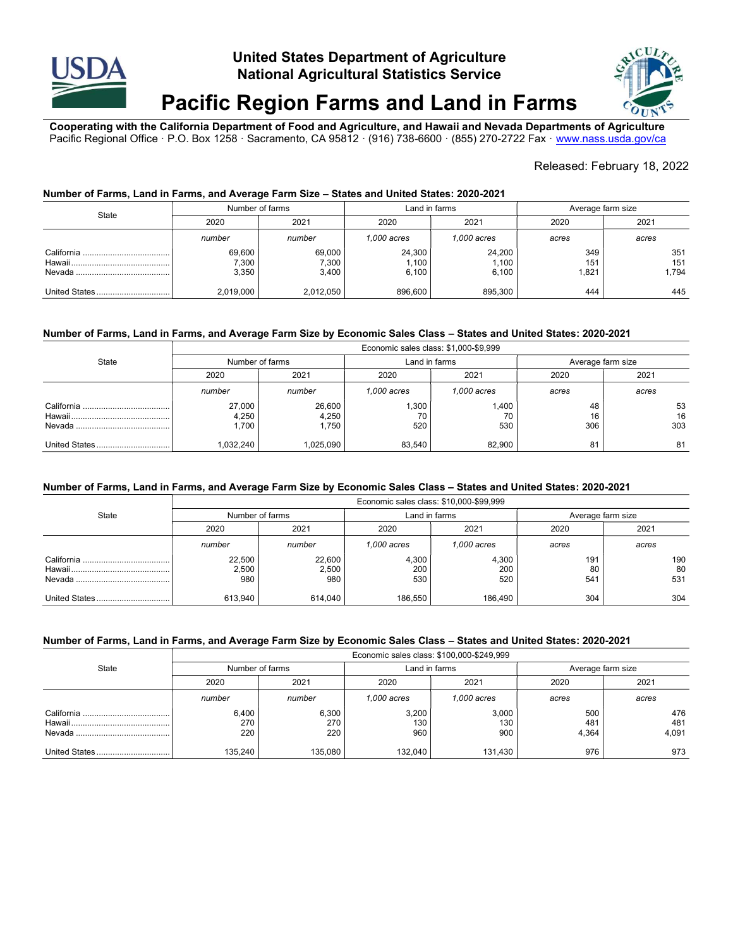

# United States Department of Agriculture National Agricultural Statistics Service



# Pacific Region Farms and Land in Farms

Cooperating with the California Department of Food and Agriculture, and Hawaii and Nevada Departments of Agriculture Pacific Regional Office · P.O. Box 1258 · Sacramento, CA 95812 · (916) 738-6600 · (855) 270-2722 Fax · www.nass.usda.gov/ca

## Released: February 18, 2022

#### Number of Farms, Land in Farms, and Average Farm Size – States and United States: 2020-2021

| State | Number of farms          |                          | Land in farms            |                          | Average farm size  |                     |
|-------|--------------------------|--------------------------|--------------------------|--------------------------|--------------------|---------------------|
|       | 2020                     | 2021                     | 2020                     | 2021                     | 2020               | 2021                |
|       | number                   | number                   | 1.000 acres              | 1.000 acres              | acres              | acres               |
|       | 69,600<br>7,300<br>3,350 | 69,000<br>7,300<br>3,400 | 24,300<br>1,100<br>6.100 | 24,200<br>1,100<br>6,100 | 349<br>151<br>.821 | 351<br>151<br>1.794 |
|       | 2,019,000                | 2,012,050                | 896.600                  | 895.300                  | 444                | 445                 |

#### Number of Farms, Land in Farms, and Average Farm Size by Economic Sales Class – States and United States: 2020-2021

|       | Economic sales class: \$1,000-\$9,999 |                          |                   |                    |                   |                 |  |
|-------|---------------------------------------|--------------------------|-------------------|--------------------|-------------------|-----------------|--|
| State | Number of farms                       |                          | Land in farms     |                    | Average farm size |                 |  |
|       | 2020                                  | 2021                     | 2020              | 2021               | 2020              | 2021            |  |
|       | number                                | number                   | 1.000 acres       | 1.000 acres        | acres             | acres           |  |
|       | 27,000<br>4,250<br>.700               | 26,600<br>4,250<br>.750، | ,300<br>70<br>520 | 1.400<br>70<br>530 | 48<br>16<br>306   | 53<br>16<br>303 |  |
|       | 1.032.240                             | 025.090                  | 83,540            | 82,900             | 81                | 81              |  |

#### Number of Farms, Land in Farms, and Average Farm Size by Economic Sales Class – States and United States: 2020-2021

|               | Economic sales class: \$10,000-\$99,999 |                        |                     |                     |                   |                  |  |
|---------------|-----------------------------------------|------------------------|---------------------|---------------------|-------------------|------------------|--|
| State         | Number of farms                         |                        | Land in farms       |                     | Average farm size |                  |  |
|               | 2020                                    | 2021                   | 2020                | 2021                | 2020              | 2021             |  |
|               | number                                  | number                 | 1.000 acres         | 1.000 acres         | acres             | acres            |  |
|               | 22,500<br>2,500<br>980                  | 22,600<br>2,500<br>980 | 4,300<br>200<br>530 | 4,300<br>200<br>520 | 191<br>80<br>541  | 190<br>80<br>531 |  |
| United States | 613.940                                 | 614,040                | 186,550             | 186.490             | 304               | 304              |  |

#### Number of Farms, Land in Farms, and Average Farm Size by Economic Sales Class – States and United States: 2020-2021

|              | Economic sales class: \$100,000-\$249,999 |                     |                     |                     |                     |                     |
|--------------|-------------------------------------------|---------------------|---------------------|---------------------|---------------------|---------------------|
| <b>State</b> | Number of farms                           |                     | Land in farms       |                     | Average farm size   |                     |
|              | 2020                                      | 2021                | 2020                | 2021                | 2020                | 2021                |
|              | number                                    | number              | 1,000 acres         | 1.000 acres         | acres               | acres               |
|              | 6,400<br>270<br>220                       | 6,300<br>270<br>220 | 3,200<br>130<br>960 | 3,000<br>130<br>900 | 500<br>481<br>4.364 | 476<br>481<br>4,091 |
|              | 135,240                                   | 135.080             | 132.040             | 131,430             | 976                 | 973                 |